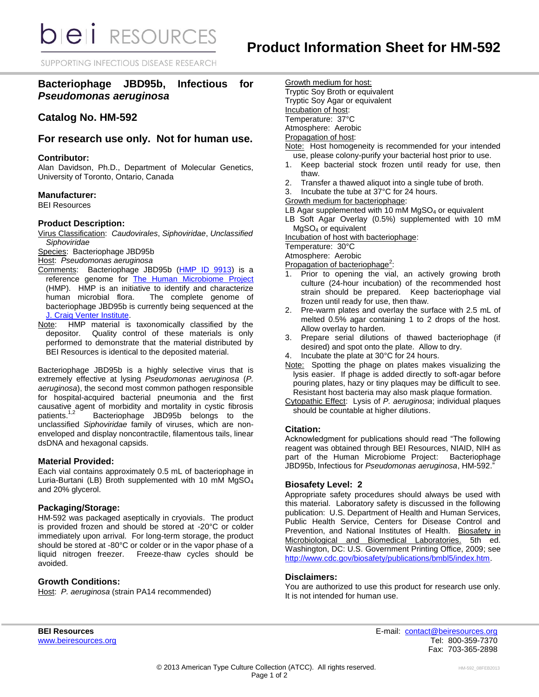**bieli** RESOURCES

SUPPORTING INFECTIOUS DISEASE RESEARCH

# **Bacteriophage JBD95b, Infectious for**  *Pseudomonas aeruginosa*

# **Catalog No. HM-592**

# **For research use only. Not for human use.**

### **Contributor:**

Alan Davidson, Ph.D., Department of Molecular Genetics, University of Toronto, Ontario, Canada

## **Manufacturer:**

BEI Resources

## **Product Description:**

Virus Classification: *Caudovirales*, *Siphoviridae*, *Unclassified Siphoviridae*

Species: Bacteriophage JBD95b

Host: *Pseudomonas aeruginosa*

- Comments: Bacteriophage JBD95b [\(HMP ID 9913\)](http://www.hmpdacc-resources.org/cgi-bin/hmp_catalog/main.cgi?section=HmpSummary&page=displayHmpProject&hmp_id=9913) is a reference genome for [The Human Microbiome Project](http://nihroadmap.nih.gov/hmp/) (HMP). HMP is an initiative to identify and characterize The complete genome of bacteriophage JBD95b is currently being sequenced at the [J. Craig Venter Institute.](http://www.jcvi.org/)
- Note: HMP material is taxonomically classified by the depositor. Quality control of these materials is only performed to demonstrate that the material distributed by BEI Resources is identical to the deposited material.

Bacteriophage JBD95b is a highly selective virus that is extremely effective at lysing *Pseudomonas aeruginosa* (*P. aeruginosa*), the second most common pathogen responsible for hospital-acquired bacterial pneumonia and the first causative agent of morbidity and mortality in cystic fibrosis patients.<sup>1,2</sup> Bacteriophage JBD95b belongs to the unclassified *Siphoviridae* family of viruses, which are nonenveloped and display noncontractile, filamentous tails, linear dsDNA and hexagonal capsids.

# **Material Provided:**

Each vial contains approximately 0.5 mL of bacteriophage in Luria-Burtani (LB) Broth supplemented with 10 mM MgSO<sup>4</sup> and 20% glycerol.

## **Packaging/Storage:**

HM-592 was packaged aseptically in cryovials. The product is provided frozen and should be stored at -20°C or colder immediately upon arrival. For long-term storage, the product should be stored at -80°C or colder or in the vapor phase of a liquid nitrogen freezer. Freeze-thaw cycles should be avoided.

# **Growth Conditions:**

Host: *P. aeruginosa* (strain PA14 recommended)

Growth medium for host: Tryptic Soy Broth or equivalent Tryptic Soy Agar or equivalent Incubation of host: Temperature: 37°C Atmosphere: Aerobic

#### Propagation of host:

- Note: Host homogeneity is recommended for your intended use, please colony-purify your bacterial host prior to use.
- 1. Keep bacterial stock frozen until ready for use, then thaw.
- 2. Transfer a thawed aliquot into a single tube of broth.
- 3. Incubate the tube at 37°C for 24 hours.
- Growth medium for bacteriophage:
- LB Agar supplemented with 10 mM  $MgSO<sub>4</sub>$  or equivalent
- LB Soft Agar Overlay (0.5%) supplemented with 10 mM MgSO<sup>4</sup> or equivalent

Incubation of host with bacteriophage:

Temperature: 30°C

Atmosphere: Aerobic

- Propagation of bacteriophage<sup>2</sup>:
- 1. Prior to opening the vial, an actively growing broth culture (24-hour incubation) of the recommended host strain should be prepared. Keep bacteriophage vial frozen until ready for use, then thaw.
- 2. Pre-warm plates and overlay the surface with 2.5 mL of melted 0.5% agar containing 1 to 2 drops of the host. Allow overlay to harden.
- 3. Prepare serial dilutions of thawed bacteriophage (if desired) and spot onto the plate. Allow to dry.
- Incubate the plate at 30°C for 24 hours.
- Note: Spotting the phage on plates makes visualizing the lysis easier. If phage is added directly to soft-agar before pouring plates, hazy or tiny plaques may be difficult to see. Resistant host bacteria may also mask plaque formation.
- Cytopathic Effect: Lysis of *P. aeruginosa*; individual plaques should be countable at higher dilutions.

### **Citation:**

Acknowledgment for publications should read "The following reagent was obtained through BEI Resources, NIAID, NIH as part of the Human Microbiome Project: Bacteriophage JBD95b, Infectious for *Pseudomonas aeruginosa*, HM-592."

# **Biosafety Level: 2**

Appropriate safety procedures should always be used with this material. Laboratory safety is discussed in the following publication: U.S. Department of Health and Human Services, Public Health Service, Centers for Disease Control and Prevention, and National Institutes of Health. Biosafety in Microbiological and Biomedical Laboratories. 5th ed. Washington, DC: U.S. Government Printing Office, 2009; see [http://www.cdc.gov/biosafety/publications/bmbl5/index.htm.](http://www.cdc.gov/biosafety/publications/bmbl5/index.htm)

### **Disclaimers:**

You are authorized to use this product for research use only. It is not intended for human use.

**BEI Resources** E-mail: [contact@beiresources.org](mailto:contact@beiresources.org) [www.beiresources.org](http://www.beiresources.org/) **Tel: 800-359-7370** Fax: 703-365-2898